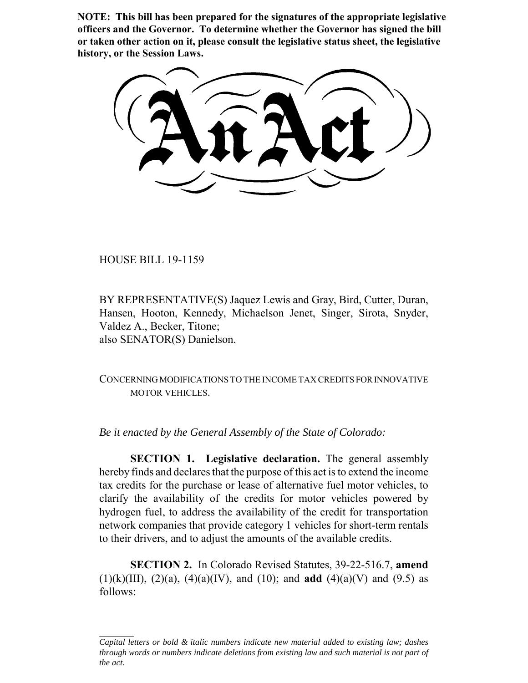**NOTE: This bill has been prepared for the signatures of the appropriate legislative officers and the Governor. To determine whether the Governor has signed the bill or taken other action on it, please consult the legislative status sheet, the legislative history, or the Session Laws.**

HOUSE BILL 19-1159

BY REPRESENTATIVE(S) Jaquez Lewis and Gray, Bird, Cutter, Duran, Hansen, Hooton, Kennedy, Michaelson Jenet, Singer, Sirota, Snyder, Valdez A., Becker, Titone; also SENATOR(S) Danielson.

CONCERNING MODIFICATIONS TO THE INCOME TAX CREDITS FOR INNOVATIVE MOTOR VEHICLES.

*Be it enacted by the General Assembly of the State of Colorado:*

**SECTION 1. Legislative declaration.** The general assembly hereby finds and declares that the purpose of this act is to extend the income tax credits for the purchase or lease of alternative fuel motor vehicles, to clarify the availability of the credits for motor vehicles powered by hydrogen fuel, to address the availability of the credit for transportation network companies that provide category 1 vehicles for short-term rentals to their drivers, and to adjust the amounts of the available credits.

**SECTION 2.** In Colorado Revised Statutes, 39-22-516.7, **amend** (1)(k)(III), (2)(a), (4)(a)(IV), and (10); and **add** (4)(a)(V) and (9.5) as follows:

*Capital letters or bold & italic numbers indicate new material added to existing law; dashes through words or numbers indicate deletions from existing law and such material is not part of the act.*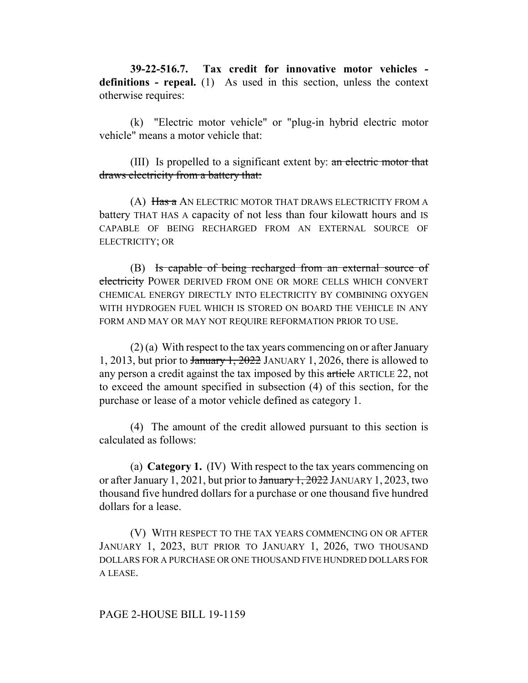**39-22-516.7. Tax credit for innovative motor vehicles definitions - repeal.** (1) As used in this section, unless the context otherwise requires:

(k) "Electric motor vehicle" or "plug-in hybrid electric motor vehicle" means a motor vehicle that:

(III) Is propelled to a significant extent by: an electric motor that draws electricity from a battery that:

(A) Has a AN ELECTRIC MOTOR THAT DRAWS ELECTRICITY FROM A battery THAT HAS A capacity of not less than four kilowatt hours and IS CAPABLE OF BEING RECHARGED FROM AN EXTERNAL SOURCE OF ELECTRICITY; OR

(B) Is capable of being recharged from an external source of electricity POWER DERIVED FROM ONE OR MORE CELLS WHICH CONVERT CHEMICAL ENERGY DIRECTLY INTO ELECTRICITY BY COMBINING OXYGEN WITH HYDROGEN FUEL WHICH IS STORED ON BOARD THE VEHICLE IN ANY FORM AND MAY OR MAY NOT REQUIRE REFORMATION PRIOR TO USE.

(2) (a) With respect to the tax years commencing on or after January 1, 2013, but prior to  $\frac{1}{2022}$  JANUARY 1, 2026, there is allowed to any person a credit against the tax imposed by this article ARTICLE 22, not to exceed the amount specified in subsection (4) of this section, for the purchase or lease of a motor vehicle defined as category 1.

(4) The amount of the credit allowed pursuant to this section is calculated as follows:

(a) **Category 1.** (IV) With respect to the tax years commencing on or after January 1, 2021, but prior to January 1, 2022 JANUARY 1, 2023, two thousand five hundred dollars for a purchase or one thousand five hundred dollars for a lease.

(V) WITH RESPECT TO THE TAX YEARS COMMENCING ON OR AFTER JANUARY 1, 2023, BUT PRIOR TO JANUARY 1, 2026, TWO THOUSAND DOLLARS FOR A PURCHASE OR ONE THOUSAND FIVE HUNDRED DOLLARS FOR A LEASE.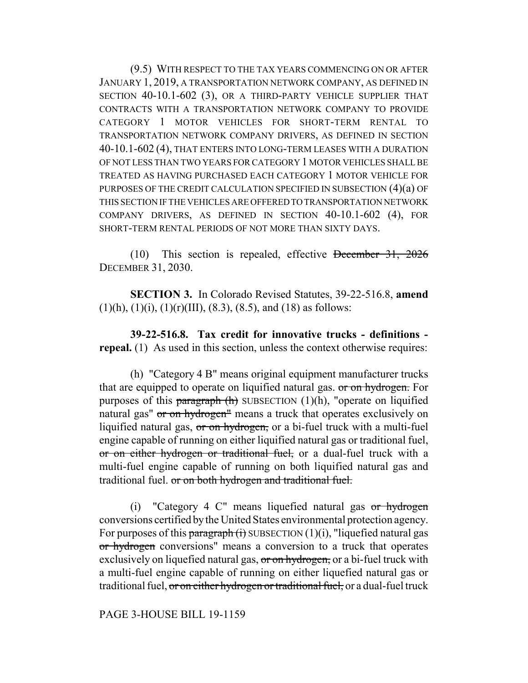(9.5) WITH RESPECT TO THE TAX YEARS COMMENCING ON OR AFTER JANUARY 1, 2019, A TRANSPORTATION NETWORK COMPANY, AS DEFINED IN SECTION 40-10.1-602 (3), OR A THIRD-PARTY VEHICLE SUPPLIER THAT CONTRACTS WITH A TRANSPORTATION NETWORK COMPANY TO PROVIDE CATEGORY 1 MOTOR VEHICLES FOR SHORT-TERM RENTAL TO TRANSPORTATION NETWORK COMPANY DRIVERS, AS DEFINED IN SECTION 40-10.1-602 (4), THAT ENTERS INTO LONG-TERM LEASES WITH A DURATION OF NOT LESS THAN TWO YEARS FOR CATEGORY 1 MOTOR VEHICLES SHALL BE TREATED AS HAVING PURCHASED EACH CATEGORY 1 MOTOR VEHICLE FOR PURPOSES OF THE CREDIT CALCULATION SPECIFIED IN SUBSECTION (4)(a) OF THIS SECTION IF THE VEHICLES ARE OFFERED TO TRANSPORTATION NETWORK COMPANY DRIVERS, AS DEFINED IN SECTION 40-10.1-602 (4), FOR SHORT-TERM RENTAL PERIODS OF NOT MORE THAN SIXTY DAYS.

(10) This section is repealed, effective December 31, 2026 DECEMBER 31, 2030.

**SECTION 3.** In Colorado Revised Statutes, 39-22-516.8, **amend**  $(1)(h)$ ,  $(1)(i)$ ,  $(1)(r)(III)$ ,  $(8.3)$ ,  $(8.5)$ , and  $(18)$  as follows:

**39-22-516.8. Tax credit for innovative trucks - definitions repeal.** (1) As used in this section, unless the context otherwise requires:

(h) "Category 4 B" means original equipment manufacturer trucks that are equipped to operate on liquified natural gas. or on hydrogen. For purposes of this paragraph  $(h)$  SUBSECTION  $(1)(h)$ , "operate on liquified natural gas" or on hydrogen" means a truck that operates exclusively on liquified natural gas, or on hydrogen, or a bi-fuel truck with a multi-fuel engine capable of running on either liquified natural gas or traditional fuel, or on either hydrogen or traditional fuel, or a dual-fuel truck with a multi-fuel engine capable of running on both liquified natural gas and traditional fuel. or on both hydrogen and traditional fuel.

(i) "Category 4 C" means liquefied natural gas  $\sigma r$  hydrogen conversions certified by the United States environmental protection agency. For purposes of this paragraph  $(i)$  SUBSECTION  $(1)(i)$ , "liquefied natural gas or hydrogen conversions" means a conversion to a truck that operates exclusively on liquefied natural gas, or on hydrogen, or a bi-fuel truck with a multi-fuel engine capable of running on either liquefied natural gas or traditional fuel, or on either hydrogen or traditional fuel, or a dual-fuel truck

PAGE 3-HOUSE BILL 19-1159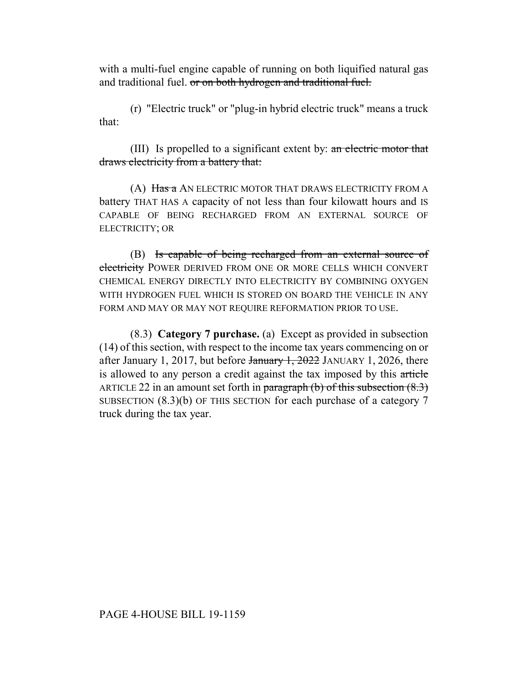with a multi-fuel engine capable of running on both liquified natural gas and traditional fuel. or on both hydrogen and traditional fuel.

(r) "Electric truck" or "plug-in hybrid electric truck" means a truck that:

(III) Is propelled to a significant extent by: an electric motor that draws electricity from a battery that:

(A) Has a AN ELECTRIC MOTOR THAT DRAWS ELECTRICITY FROM A battery THAT HAS A capacity of not less than four kilowatt hours and IS CAPABLE OF BEING RECHARGED FROM AN EXTERNAL SOURCE OF ELECTRICITY; OR

(B) Is capable of being recharged from an external source of electricity POWER DERIVED FROM ONE OR MORE CELLS WHICH CONVERT CHEMICAL ENERGY DIRECTLY INTO ELECTRICITY BY COMBINING OXYGEN WITH HYDROGEN FUEL WHICH IS STORED ON BOARD THE VEHICLE IN ANY FORM AND MAY OR MAY NOT REQUIRE REFORMATION PRIOR TO USE.

(8.3) **Category 7 purchase.** (a) Except as provided in subsection (14) of this section, with respect to the income tax years commencing on or after January 1, 2017, but before  $\frac{1}{2022}$  JANUARY 1, 2026, there is allowed to any person a credit against the tax imposed by this article ARTICLE 22 in an amount set forth in paragraph  $(b)$  of this subsection  $(8.3)$ SUBSECTION (8.3)(b) OF THIS SECTION for each purchase of a category 7 truck during the tax year.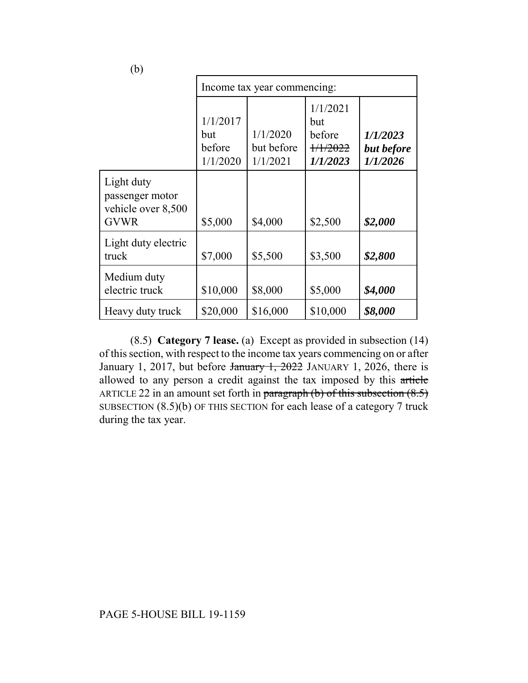| (b)                                                                |                                       |                                    |                                                             |                                    |
|--------------------------------------------------------------------|---------------------------------------|------------------------------------|-------------------------------------------------------------|------------------------------------|
|                                                                    | Income tax year commencing:           |                                    |                                                             |                                    |
|                                                                    | 1/1/2017<br>but<br>before<br>1/1/2020 | 1/1/2020<br>but before<br>1/1/2021 | 1/1/2021<br>but<br>before<br>$+\frac{1}{12022}$<br>1/1/2023 | 1/1/2023<br>but before<br>1/1/2026 |
| Light duty<br>passenger motor<br>vehicle over 8,500<br><b>GVWR</b> | \$5,000                               | \$4,000                            | \$2,500                                                     | \$2,000                            |
| Light duty electric<br>truck                                       | \$7,000                               | \$5,500                            | \$3,500                                                     | \$2,800                            |
| Medium duty<br>electric truck                                      | \$10,000                              | \$8,000                            | \$5,000                                                     | \$4,000                            |
| Heavy duty truck                                                   | \$20,000                              | \$16,000                           | \$10,000                                                    | \$8,000                            |

(8.5) **Category 7 lease.** (a) Except as provided in subsection (14) of this section, with respect to the income tax years commencing on or after January 1, 2017, but before January 1, 2022 JANUARY 1, 2026, there is allowed to any person a credit against the tax imposed by this article ARTICLE 22 in an amount set forth in paragraph  $(b)$  of this subsection  $(8.5)$ SUBSECTION (8.5)(b) OF THIS SECTION for each lease of a category 7 truck during the tax year.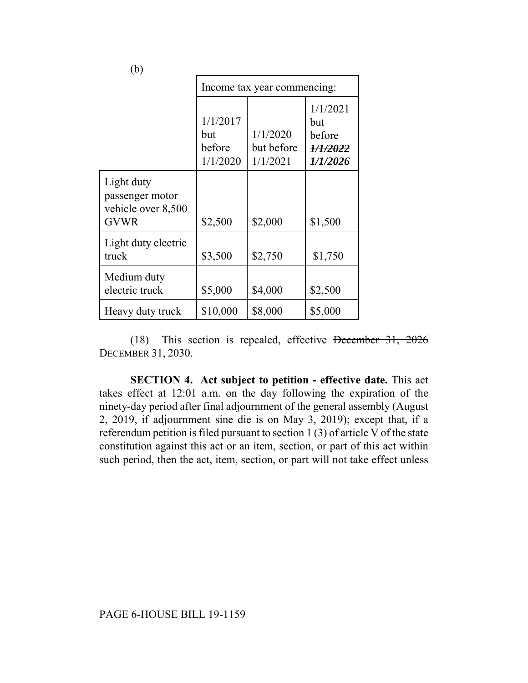| (b)                                                                |                                       |                                    |                                                   |  |
|--------------------------------------------------------------------|---------------------------------------|------------------------------------|---------------------------------------------------|--|
|                                                                    | Income tax year commencing:           |                                    |                                                   |  |
|                                                                    | 1/1/2017<br>but<br>before<br>1/1/2020 | 1/1/2020<br>but before<br>1/1/2021 | 1/1/2021<br>but<br>before<br>1/1/2022<br>1/1/2026 |  |
| Light duty<br>passenger motor<br>vehicle over 8,500<br><b>GVWR</b> | \$2,500                               | \$2,000                            | \$1,500                                           |  |
| Light duty electric<br>truck                                       | \$3,500                               | \$2,750                            | \$1,750                                           |  |
| Medium duty<br>electric truck                                      | \$5,000                               | \$4,000                            | \$2,500                                           |  |
| Heavy duty truck                                                   | \$10,000                              | \$8,000                            | \$5,000                                           |  |

(18) This section is repealed, effective December 31, 2026 DECEMBER 31, 2030.

**SECTION 4. Act subject to petition - effective date.** This act takes effect at 12:01 a.m. on the day following the expiration of the ninety-day period after final adjournment of the general assembly (August 2, 2019, if adjournment sine die is on May 3, 2019); except that, if a referendum petition is filed pursuant to section 1 (3) of article V of the state constitution against this act or an item, section, or part of this act within such period, then the act, item, section, or part will not take effect unless